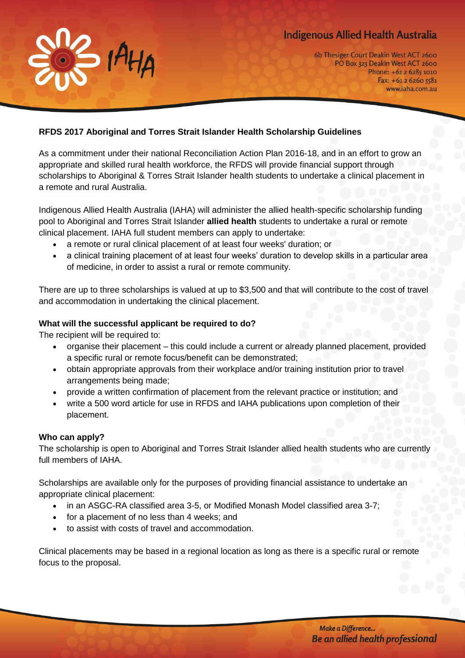# **Indigenous Allied Health Australia**



6b Thesiger Court Deakin West ACT 2600 PO Box 323 Deakin West ACT 2600 Phone: +61 2 6285 1010 Fax: +61 2 6260 5581 www.iaha.com.au

## **RFDS 2017 Aboriginal and Torres Strait Islander Health Scholarship Guidelines**

As a commitment under their national Reconciliation Action Plan 2016-18, and in an effort to grow an appropriate and skilled rural health workforce, the RFDS will provide financial support through scholarships to Aboriginal & Torres Strait Islander health students to undertake a clinical placement in a remote and rural Australia.

Indigenous Allied Health Australia (IAHA) will administer the allied health-specific scholarship funding pool to Aboriginal and Torres Strait Islander **allied health** students to undertake a rural or remote clinical placement. IAHA full student members can apply to undertake:

- a remote or rural clinical placement of at least four weeks' duration; or
- a clinical training placement of at least four weeks' duration to develop skills in a particular area of medicine, in order to assist a rural or remote community.

There are up to three scholarships is valued at up to \$3,500 and that will contribute to the cost of travel and accommodation in undertaking the clinical placement.

#### **What will the successful applicant be required to do?**

The recipient will be required to:

- organise their placement this could include a current or already planned placement, provided a specific rural or remote focus/benefit can be demonstrated;
- obtain appropriate approvals from their workplace and/or training institution prior to travel arrangements being made;
- provide a written confirmation of placement from the relevant practice or institution; and
- write a 500 word article for use in RFDS and IAHA publications upon completion of their placement.

#### **Who can apply?**

The scholarship is open to Aboriginal and Torres Strait Islander allied health students who are currently full members of IAHA.

Scholarships are available only for the purposes of providing financial assistance to undertake an appropriate clinical placement:

- in an ASGC-RA classified area 3-5, or Modified Monash Model classified area 3-7;
- for a placement of no less than 4 weeks; and
- to assist with costs of travel and accommodation.

Clinical placements may be based in a regional location as long as there is a specific rural or remote focus to the proposal.